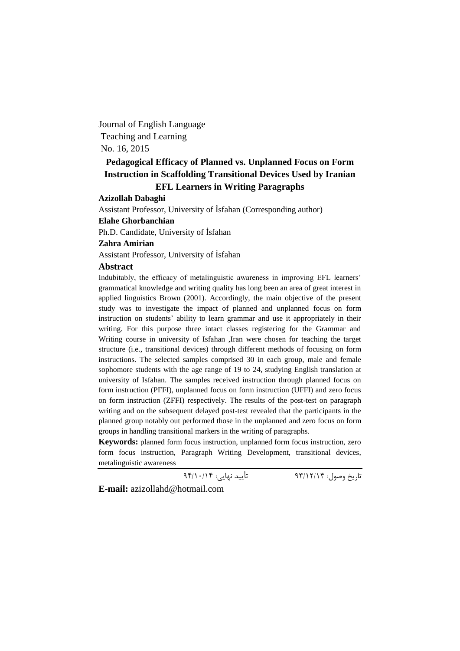Journal of English Language Teaching and Learning No. 16, 2015

# **Pedagogical Efficacy of Planned vs. Unplanned Focus on Form Instruction in Scaffolding Transitional Devices Used by Iranian EFL Learners in Writing Paragraphs**

#### **Azizollah Dabaghi**

Assistant Professor, University of İsfahan (Corresponding author)

### **Elahe Ghorbanchian**

Ph.D. Candidate, University of İsfahan

### **Zahra Amirian**

Assistant Professor, University of İsfahan

## **Abstract**

Indubitably, the efficacy of metalinguistic awareness in improving EFL learners' grammatical knowledge and writing quality has long been an area of great interest in applied linguistics Brown (2001). Accordingly, the main objective of the present study was to investigate the impact of planned and unplanned focus on form instruction on students' ability to learn grammar and use it appropriately in their writing. For this purpose three intact classes registering for the Grammar and Writing course in university of Isfahan ,Iran were chosen for teaching the target structure (i.e., transitional devices) through different methods of focusing on form instructions. The selected samples comprised 30 in each group, male and female sophomore students with the age range of 19 to 24, studying English translation at university of Isfahan. The samples received instruction through planned focus on form instruction (PFFI), unplanned focus on form instruction (UFFI) and zero focus on form instruction (ZFFI) respectively. The results of the post-test on paragraph writing and on the subsequent delayed post-test revealed that the participants in the planned group notably out performed those in the unplanned and zero focus on form groups in handling transitional markers in the writing of paragraphs.

**Keywords:** planned form focus instruction, unplanned form focus instruction, zero form focus instruction, Paragraph Writing Development, transitional devices, metalinguistic awareness

تاریخ وصول: 93/12/14 تأیید نهایی: 94/10/14

**E-mail:** azizollahd@hotmail.com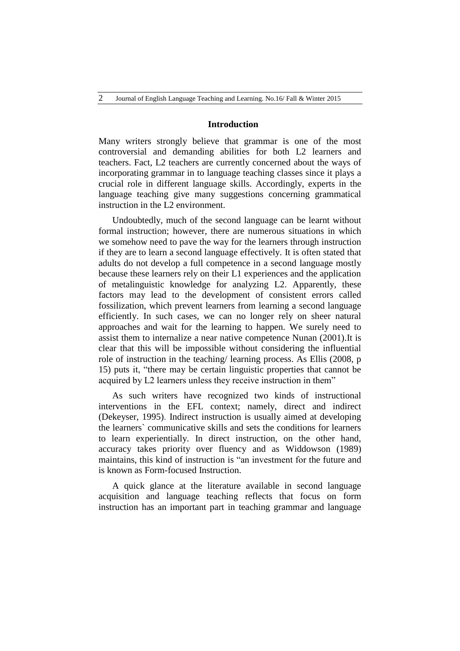### **Introduction**

Many writers strongly believe that grammar is one of the most controversial and demanding abilities for both L2 learners and teachers. Fact, L2 teachers are currently concerned about the ways of incorporating grammar in to language teaching classes since it plays a crucial role in different language skills. Accordingly, experts in the language teaching give many suggestions concerning grammatical instruction in the L2 environment.

Undoubtedly, much of the second language can be learnt without formal instruction; however, there are numerous situations in which we somehow need to pave the way for the learners through instruction if they are to learn a second language effectively. It is often stated that adults do not develop a full competence in a second language mostly because these learners rely on their L1 experiences and the application of metalinguistic knowledge for analyzing L2. Apparently, these factors may lead to the development of consistent errors called fossilization, which prevent learners from learning a second language efficiently. In such cases, we can no longer rely on sheer natural approaches and wait for the learning to happen. We surely need to assist them to internalize a near native competence Nunan (2001).It is clear that this will be impossible without considering the influential role of instruction in the teaching/ learning process. As Ellis (2008, p 15) puts it, "there may be certain linguistic properties that cannot be acquired by L2 learners unless they receive instruction in them"

As such writers have recognized two kinds of instructional interventions in the EFL context; namely, direct and indirect (Dekeyser, 1995). Indirect instruction is usually aimed at developing the learners` communicative skills and sets the conditions for learners to learn experientially. In direct instruction, on the other hand, accuracy takes priority over fluency and as Widdowson (1989) maintains, this kind of instruction is "an investment for the future and is known as Form-focused Instruction.

A quick glance at the literature available in second language acquisition and language teaching reflects that focus on form instruction has an important part in teaching grammar and language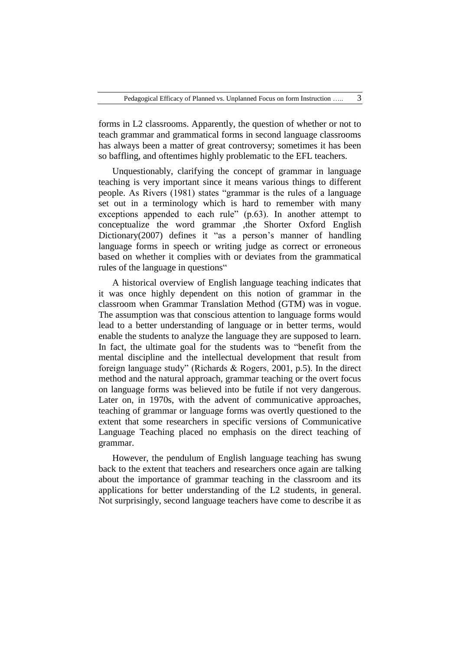forms in L2 classrooms. Apparently, the question of whether or not to teach grammar and grammatical forms in second language classrooms has always been a matter of great controversy; sometimes it has been so baffling, and oftentimes highly problematic to the EFL teachers.

Unquestionably, clarifying the concept of grammar in language teaching is very important since it means various things to different people. As Rivers (1981) states "grammar is the rules of a language set out in a terminology which is hard to remember with many exceptions appended to each rule" (p.63). In another attempt to conceptualize the word grammar ,the Shorter Oxford English Dictionary(2007) defines it "as a person's manner of handling language forms in speech or writing judge as correct or erroneous based on whether it complies with or deviates from the grammatical rules of the language in questions"

A historical overview of English language teaching indicates that it was once highly dependent on this notion of grammar in the classroom when Grammar Translation Method (GTM) was in vogue. The assumption was that conscious attention to language forms would lead to a better understanding of language or in better terms, would enable the students to analyze the language they are supposed to learn. In fact, the ultimate goal for the students was to "benefit from the mental discipline and the intellectual development that result from foreign language study" (Richards & Rogers, 2001, p.5). In the direct method and the natural approach, grammar teaching or the overt focus on language forms was believed into be futile if not very dangerous. Later on, in 1970s, with the advent of communicative approaches, teaching of grammar or language forms was overtly questioned to the extent that some researchers in specific versions of Communicative Language Teaching placed no emphasis on the direct teaching of grammar.

However, the pendulum of English language teaching has swung back to the extent that teachers and researchers once again are talking about the importance of grammar teaching in the classroom and its applications for better understanding of the L2 students, in general. Not surprisingly, second language teachers have come to describe it as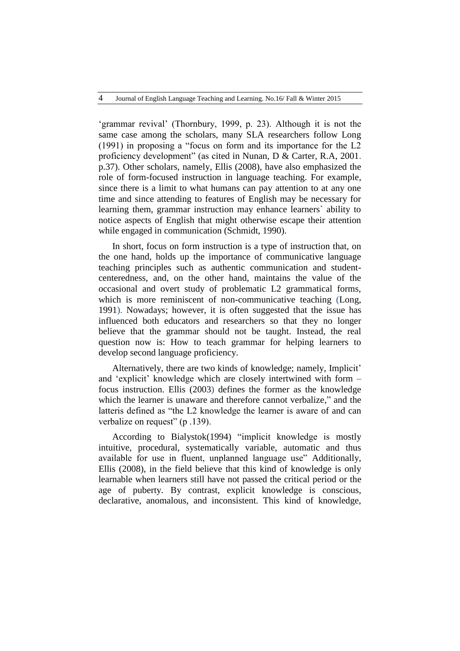'grammar revival' (Thornbury, 1999, p. 23). Although it is not the same case among the scholars, many SLA researchers follow Long (1991) in proposing a "focus on form and its importance for the L2 proficiency development" (as cited in Nunan, D & Carter, R.A, 2001. p.37). Other scholars, namely, Ellis (2008), have also emphasized the role of form-focused instruction in language teaching. For example, since there is a limit to what humans can pay attention to at any one time and since attending to features of English may be necessary for learning them, grammar instruction may enhance learners` ability to notice aspects of English that might otherwise escape their attention while engaged in communication (Schmidt, 1990).

In short, focus on form instruction is a type of instruction that, on the one hand, holds up the importance of communicative language teaching principles such as authentic communication and studentcenteredness, and, on the other hand, maintains the value of the occasional and overt study of problematic L2 grammatical forms, which is more reminiscent of non-communicative teaching (Long, 1991). Nowadays; however, it is often suggested that the issue has influenced both educators and researchers so that they no longer believe that the grammar should not be taught. Instead, the real question now is: How to teach grammar for helping learners to develop second language proficiency.

Alternatively, there are two kinds of knowledge; namely, Implicit' and 'explicit' knowledge which are closely intertwined with form – focus instruction. Ellis (2003) defines the former as the knowledge which the learner is unaware and therefore cannot verbalize," and the latteris defined as "the L2 knowledge the learner is aware of and can verbalize on request" (p.139).

According to Bialystok(1994) "implicit knowledge is mostly intuitive, procedural, systematically variable, automatic and thus available for use in fluent, unplanned language use" Additionally, Ellis (2008), in the field believe that this kind of knowledge is only learnable when learners still have not passed the critical period or the age of puberty. By contrast, explicit knowledge is conscious, declarative, anomalous, and inconsistent. This kind of knowledge,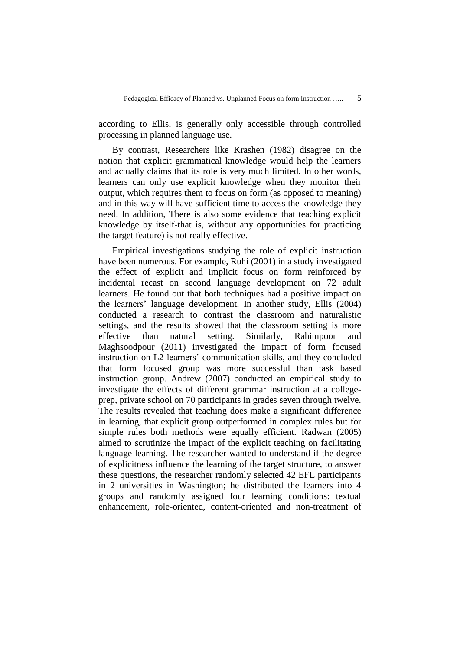according to Ellis, is generally only accessible through controlled processing in planned language use.

By contrast, Researchers like Krashen (1982) disagree on the notion that explicit grammatical knowledge would help the learners and actually claims that its role is very much limited. In other words, learners can only use explicit knowledge when they monitor their output, which requires them to focus on form (as opposed to meaning) and in this way will have sufficient time to access the knowledge they need. In addition, There is also some evidence that teaching explicit knowledge by itself-that is, without any opportunities for practicing the target feature) is not really effective.

Empirical investigations studying the role of explicit instruction have been numerous. For example, Ruhi (2001) in a study investigated the effect of explicit and implicit focus on form reinforced by incidental recast on second language development on 72 adult learners. He found out that both techniques had a positive impact on the learners' language development. In another study, Ellis (2004) conducted a research to contrast the classroom and naturalistic settings, and the results showed that the classroom setting is more effective than natural setting. Similarly, Rahimpoor and Maghsoodpour (2011) investigated the impact of form focused instruction on L2 learners' communication skills, and they concluded that form focused group was more successful than task based instruction group. Andrew (2007) conducted an empirical study to investigate the effects of different grammar instruction at a collegeprep, private school on 70 participants in grades seven through twelve. The results revealed that teaching does make a significant difference in learning, that explicit group outperformed in complex rules but for simple rules both methods were equally efficient. Radwan (2005) aimed to scrutinize the impact of the explicit teaching on facilitating language learning. The researcher wanted to understand if the degree of explicitness influence the learning of the target structure, to answer these questions, the researcher randomly selected 42 EFL participants in 2 universities in Washington; he distributed the learners into 4 groups and randomly assigned four learning conditions: textual enhancement, role-oriented, content-oriented and non-treatment of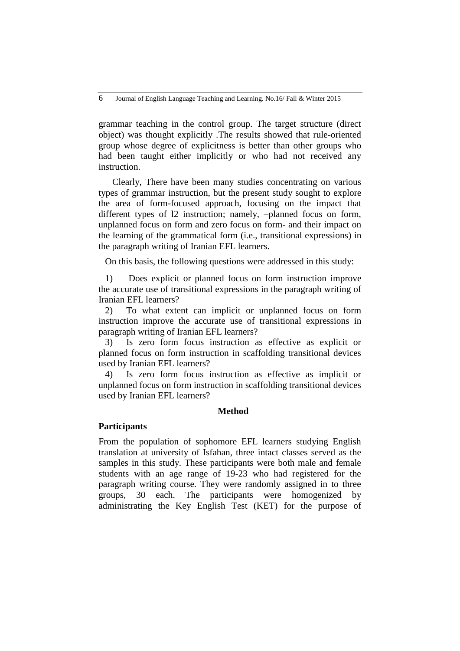grammar teaching in the control group. The target structure (direct object) was thought explicitly .The results showed that rule-oriented group whose degree of explicitness is better than other groups who had been taught either implicitly or who had not received any instruction.

Clearly, There have been many studies concentrating on various types of grammar instruction, but the present study sought to explore the area of form-focused approach, focusing on the impact that different types of l2 instruction; namely, –planned focus on form, unplanned focus on form and zero focus on form- and their impact on the learning of the grammatical form (i.e., transitional expressions) in the paragraph writing of Iranian EFL learners.

On this basis, the following questions were addressed in this study:

1) Does explicit or planned focus on form instruction improve the accurate use of transitional expressions in the paragraph writing of Iranian EFL learners?

2) To what extent can implicit or unplanned focus on form instruction improve the accurate use of transitional expressions in paragraph writing of Iranian EFL learners?

3) Is zero form focus instruction as effective as explicit or planned focus on form instruction in scaffolding transitional devices used by Iranian EFL learners?

4) Is zero form focus instruction as effective as implicit or unplanned focus on form instruction in scaffolding transitional devices used by Iranian EFL learners?

### **Method**

## **Participants**

From the population of sophomore EFL learners studying English translation at university of Isfahan, three intact classes served as the samples in this study. These participants were both male and female students with an age range of 19-23 who had registered for the paragraph writing course. They were randomly assigned in to three groups, 30 each. The participants were homogenized by administrating the Key English Test (KET) for the purpose of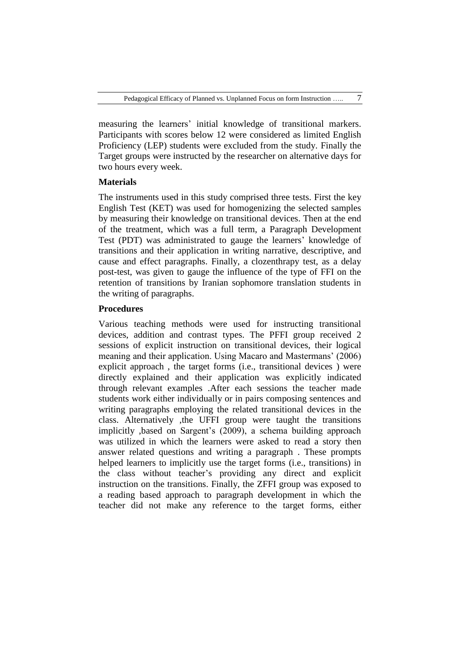measuring the learners' initial knowledge of transitional markers. Participants with scores below 12 were considered as limited English Proficiency (LEP) students were excluded from the study. Finally the Target groups were instructed by the researcher on alternative days for two hours every week.

### **Materials**

The instruments used in this study comprised three tests. First the key English Test (KET) was used for homogenizing the selected samples by measuring their knowledge on transitional devices. Then at the end of the treatment, which was a full term, a Paragraph Development Test (PDT) was administrated to gauge the learners' knowledge of transitions and their application in writing narrative, descriptive, and cause and effect paragraphs. Finally, a clozenthrapy test, as a delay post-test, was given to gauge the influence of the type of FFI on the retention of transitions by Iranian sophomore translation students in the writing of paragraphs.

## **Procedures**

Various teaching methods were used for instructing transitional devices, addition and contrast types. The PFFI group received 2 sessions of explicit instruction on transitional devices, their logical meaning and their application. Using Macaro and Mastermans' (2006) explicit approach , the target forms (i.e., transitional devices ) were directly explained and their application was explicitly indicated through relevant examples .After each sessions the teacher made students work either individually or in pairs composing sentences and writing paragraphs employing the related transitional devices in the class. Alternatively ,the UFFI group were taught the transitions implicitly ,based on Sargent's (2009), a schema building approach was utilized in which the learners were asked to read a story then answer related questions and writing a paragraph . These prompts helped learners to implicitly use the target forms (i.e., transitions) in the class without teacher's providing any direct and explicit instruction on the transitions. Finally, the ZFFI group was exposed to a reading based approach to paragraph development in which the teacher did not make any reference to the target forms, either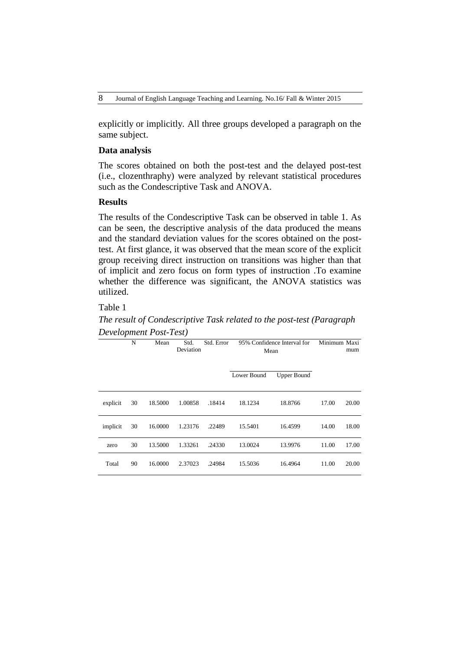explicitly or implicitly. All three groups developed a paragraph on the same subject.

## **Data analysis**

The scores obtained on both the post-test and the delayed post-test (i.e., clozenthraphy) were analyzed by relevant statistical procedures such as the Condescriptive Task and ANOVA.

### **Results**

The results of the Condescriptive Task can be observed in table 1. As can be seen, the descriptive analysis of the data produced the means and the standard deviation values for the scores obtained on the posttest. At first glance, it was observed that the mean score of the explicit group receiving direct instruction on transitions was higher than that of implicit and zero focus on form types of instruction .To examine whether the difference was significant, the ANOVA statistics was utilized.

## Table 1

*The result of Condescriptive Task related to the post-test (Paragraph Development Post-Test)*

|          | N  | Mean    | Std.<br>Deviation | Std. Error | 95% Confidence Interval for<br>Mean |                    | Minimum Maxi | mum   |
|----------|----|---------|-------------------|------------|-------------------------------------|--------------------|--------------|-------|
|          |    |         |                   |            | Lower Bound                         | <b>Upper Bound</b> |              |       |
| explicit | 30 | 18.5000 | 1.00858           | .18414     | 18.1234                             | 18.8766            | 17.00        | 20.00 |
| implicit | 30 | 16.0000 | 1.23176           | .22489     | 15.5401                             | 16.4599            | 14.00        | 18.00 |
| zero     | 30 | 13.5000 | 1.33261           | .24330     | 13.0024                             | 13.9976            | 11.00        | 17.00 |
| Total    | 90 | 16.0000 | 2.37023           | .24984     | 15.5036                             | 16.4964            | 11.00        | 20.00 |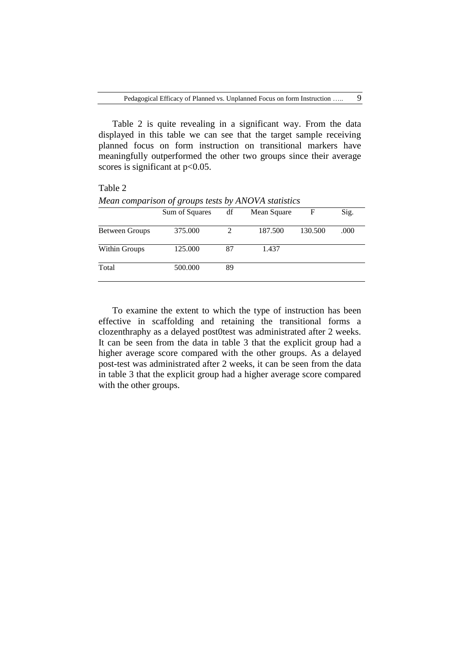Table 2 is quite revealing in a significant way. From the data displayed in this table we can see that the target sample receiving planned focus on form instruction on transitional markers have meaningfully outperformed the other two groups since their average scores is significant at  $p<0.05$ .

### Table 2

|                      | Sum of Squares | df | Mean Square | F       | Sig. |
|----------------------|----------------|----|-------------|---------|------|
| Between Groups       | 375.000        |    | 187.500     | 130.500 | .000 |
| <b>Within Groups</b> | 125.000        | 87 | 1.437       |         |      |
| Total                | 500.000        | 89 |             |         |      |

*Mean comparison of groups tests by ANOVA statistics*

To examine the extent to which the type of instruction has been effective in scaffolding and retaining the transitional forms a clozenthraphy as a delayed post0test was administrated after 2 weeks. It can be seen from the data in table 3 that the explicit group had a higher average score compared with the other groups. As a delayed post-test was administrated after 2 weeks, it can be seen from the data in table 3 that the explicit group had a higher average score compared with the other groups.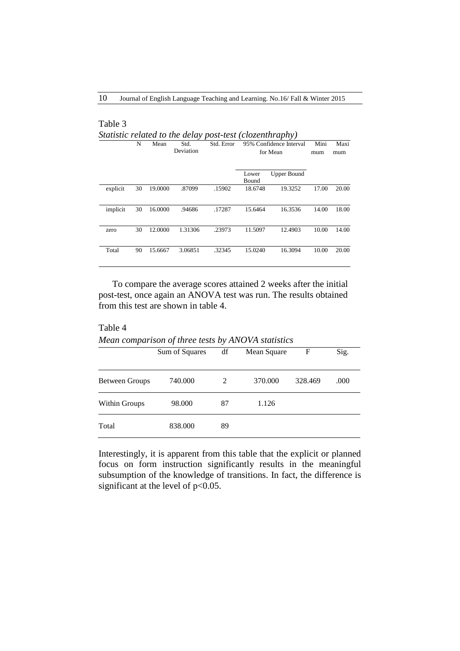Table 3

Table 4

|          | N  | Mean    | Std.<br>Deviation | Std. Error | 95% Confidence Interval<br>for Mean |                    | Mini<br>mum | Maxi<br>mum |
|----------|----|---------|-------------------|------------|-------------------------------------|--------------------|-------------|-------------|
|          |    |         |                   |            | Lower<br>Bound                      | <b>Upper Bound</b> |             |             |
| explicit | 30 | 19.0000 | .87099            | .15902     | 18.6748                             | 19.3252            | 17.00       | 20.00       |
| implicit | 30 | 16.0000 | .94686            | .17287     | 15.6464                             | 16.3536            | 14.00       | 18.00       |
| zero     | 30 | 12.0000 | 1.31306           | .23973     | 11.5097                             | 12.4903            | 10.00       | 14.00       |
| Total    | 90 | 15.6667 | 3.06851           | .32345     | 15.0240                             | 16.3094            | 10.00       | 20.00       |

To compare the average scores attained 2 weeks after the initial post-test, once again an ANOVA test was run. The results obtained from this test are shown in table 4.

*Mean comparison of three tests by ANOVA statistics*

|                | Sum of Squares | df | Mean Square | F       | Sig. |
|----------------|----------------|----|-------------|---------|------|
| Between Groups | 740.000        | 2  | 370.000     | 328.469 | .000 |
| Within Groups  | 98.000         | 87 | 1.126       |         |      |
| Total          | 838.000        | 89 |             |         |      |

Interestingly, it is apparent from this table that the explicit or planned focus on form instruction significantly results in the meaningful subsumption of the knowledge of transitions. In fact, the difference is significant at the level of p<0.05.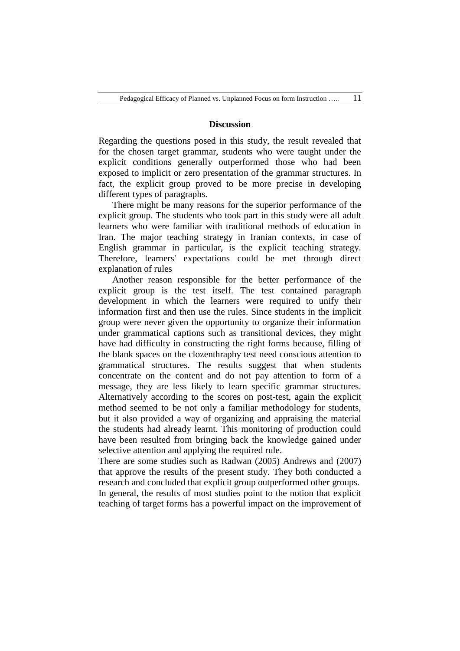### **Discussion**

Regarding the questions posed in this study, the result revealed that for the chosen target grammar, students who were taught under the explicit conditions generally outperformed those who had been exposed to implicit or zero presentation of the grammar structures. In fact, the explicit group proved to be more precise in developing different types of paragraphs.

There might be many reasons for the superior performance of the explicit group. The students who took part in this study were all adult learners who were familiar with traditional methods of education in Iran. The major teaching strategy in Iranian contexts, in case of English grammar in particular, is the explicit teaching strategy. Therefore, learners' expectations could be met through direct explanation of rules

Another reason responsible for the better performance of the explicit group is the test itself. The test contained paragraph development in which the learners were required to unify their information first and then use the rules. Since students in the implicit group were never given the opportunity to organize their information under grammatical captions such as transitional devices, they might have had difficulty in constructing the right forms because, filling of the blank spaces on the clozenthraphy test need conscious attention to grammatical structures. The results suggest that when students concentrate on the content and do not pay attention to form of a message, they are less likely to learn specific grammar structures. Alternatively according to the scores on post-test, again the explicit method seemed to be not only a familiar methodology for students, but it also provided a way of organizing and appraising the material the students had already learnt. This monitoring of production could have been resulted from bringing back the knowledge gained under selective attention and applying the required rule.

There are some studies such as Radwan (2005) Andrews and (2007) that approve the results of the present study. They both conducted a research and concluded that explicit group outperformed other groups. In general, the results of most studies point to the notion that explicit teaching of target forms has a powerful impact on the improvement of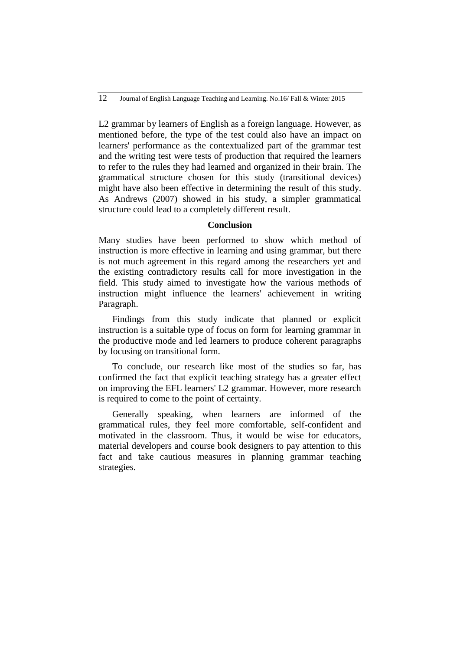L2 grammar by learners of English as a foreign language. However, as mentioned before, the type of the test could also have an impact on learners' performance as the contextualized part of the grammar test and the writing test were tests of production that required the learners to refer to the rules they had learned and organized in their brain. The grammatical structure chosen for this study (transitional devices) might have also been effective in determining the result of this study. As Andrews (2007) showed in his study, a simpler grammatical structure could lead to a completely different result.

## **Conclusion**

Many studies have been performed to show which method of instruction is more effective in learning and using grammar, but there is not much agreement in this regard among the researchers yet and the existing contradictory results call for more investigation in the field. This study aimed to investigate how the various methods of instruction might influence the learners' achievement in writing Paragraph.

Findings from this study indicate that planned or explicit instruction is a suitable type of focus on form for learning grammar in the productive mode and led learners to produce coherent paragraphs by focusing on transitional form.

To conclude, our research like most of the studies so far, has confirmed the fact that explicit teaching strategy has a greater effect on improving the EFL learners' L2 grammar. However, more research is required to come to the point of certainty.

Generally speaking, when learners are informed of the grammatical rules, they feel more comfortable, self-confident and motivated in the classroom. Thus, it would be wise for educators, material developers and course book designers to pay attention to this fact and take cautious measures in planning grammar teaching strategies.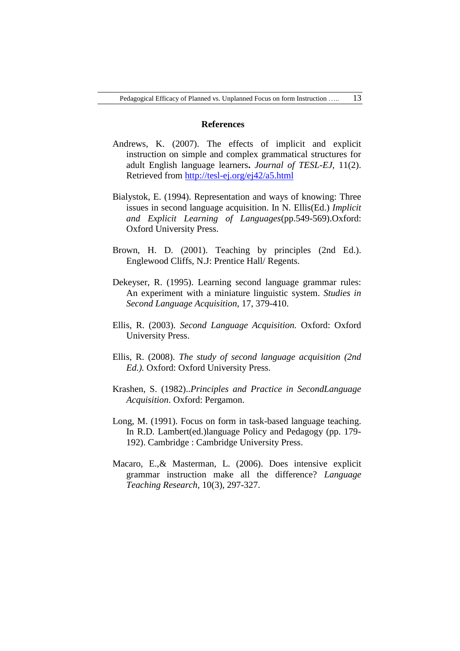### **References**

- Andrews, K. (2007). The effects of implicit and explicit instruction on simple and complex grammatical structures for adult English language learners**.** *Journal of TESL-EJ,* 11(2). Retrieved from<http://tesl-ej.org/ej42/a5.html>
- Bialystok, E. (1994). Representation and ways of knowing: Three issues in second language acquisition. In N. Ellis(Ed.) *Implicit and Explicit Learning of Languages*(pp.549-569).Oxford: Oxford University Press.
- Brown, H. D. (2001). Teaching by principles (2nd Ed.). Englewood Cliffs, N.J: Prentice Hall/ Regents.
- Dekeyser, R. (1995). Learning second language grammar rules: An experiment with a miniature linguistic system. *Studies in Second Language Acquisition*, 17, 379-410.
- Ellis, R. (2003). *Second Language Acquisition.* Oxford: Oxford University Press.
- Ellis, R. (2008). *The study of second language acquisition (2nd Ed.).* Oxford: Oxford University Press.
- Krashen, S. (1982)..*Principles and Practice in SecondLanguage Acquisition*. Oxford: Pergamon.
- Long, M. (1991). Focus on form in task-based language teaching. In R.D. Lambert(ed.)language Policy and Pedagogy (pp. 179- 192). Cambridge : Cambridge University Press.
- Macaro, E.,& Masterman, L. (2006). Does intensive explicit grammar instruction make all the difference? *Language Teaching Research,* 10(3), 297-327.